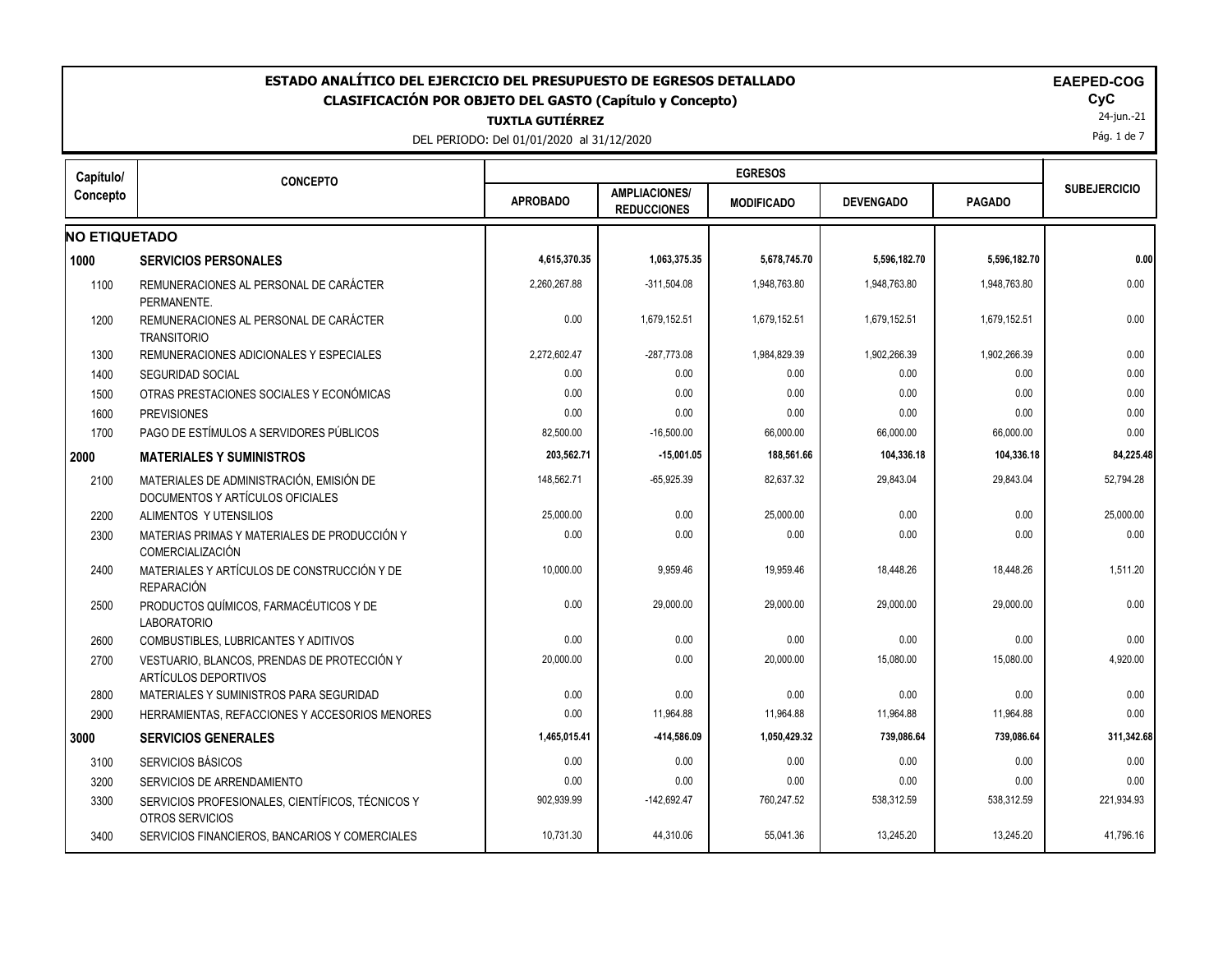| ESTADO ANALÍTICO DEL EJERCICIO DEL PRESUPUESTO DE EGRESOS DETALLADO<br><b>EAEPED-COG</b><br><b>CLASIFICACIÓN POR OBJETO DEL GASTO (Capítulo y Concepto)</b><br><b>TUXTLA GUTIÉRREZ</b><br>DEL PERIODO: Del 01/01/2020 al 31/12/2020 |                                                                              |                 |                                            |                   |                  |               |                     |  |
|-------------------------------------------------------------------------------------------------------------------------------------------------------------------------------------------------------------------------------------|------------------------------------------------------------------------------|-----------------|--------------------------------------------|-------------------|------------------|---------------|---------------------|--|
| Capítulo/                                                                                                                                                                                                                           | <b>CONCEPTO</b>                                                              | <b>EGRESOS</b>  |                                            |                   |                  |               |                     |  |
| Concepto                                                                                                                                                                                                                            |                                                                              | <b>APROBADO</b> | <b>AMPLIACIONES/</b><br><b>REDUCCIONES</b> | <b>MODIFICADO</b> | <b>DEVENGADO</b> | <b>PAGADO</b> | <b>SUBEJERCICIO</b> |  |
| <b>NO ETIQUETADO</b>                                                                                                                                                                                                                |                                                                              |                 |                                            |                   |                  |               |                     |  |
| 1000                                                                                                                                                                                                                                | <b>SERVICIOS PERSONALES</b>                                                  | 4,615,370.35    | 1,063,375.35                               | 5,678,745.70      | 5,596,182.70     | 5,596,182.70  | 0.00                |  |
| 1100                                                                                                                                                                                                                                | REMUNERACIONES AL PERSONAL DE CARÁCTER<br>PERMANENTE.                        | 2,260,267.88    | $-311,504.08$                              | 1,948,763.80      | 1,948,763.80     | 1,948,763.80  | 0.00                |  |
| 1200                                                                                                                                                                                                                                | REMUNERACIONES AL PERSONAL DE CARÁCTER<br><b>TRANSITORIO</b>                 | 0.00            | 1,679,152.51                               | 1,679,152.51      | 1,679,152.51     | 1,679,152.51  | 0.00                |  |
| 1300                                                                                                                                                                                                                                | REMUNERACIONES ADICIONALES Y ESPECIALES                                      | 2,272,602.47    | -287,773.08                                | 1,984,829.39      | 1,902,266.39     | 1,902,266.39  | 0.00                |  |
| 1400                                                                                                                                                                                                                                | <b>SEGURIDAD SOCIAL</b>                                                      | 0.00            | 0.00                                       | 0.00              | 0.00             | 0.00          | 0.00                |  |
| 1500                                                                                                                                                                                                                                | OTRAS PRESTACIONES SOCIALES Y ECONÓMICAS                                     | 0.00            | 0.00                                       | 0.00              | 0.00             | 0.00          | 0.00                |  |
| 1600                                                                                                                                                                                                                                | <b>PREVISIONES</b>                                                           | 0.00            | 0.00                                       | 0.00              | 0.00             | 0.00          | 0.00                |  |
| 1700                                                                                                                                                                                                                                | PAGO DE ESTÍMULOS A SERVIDORES PÚBLICOS                                      | 82,500.00       | $-16,500.00$                               | 66,000.00         | 66,000.00        | 66,000.00     | 0.00                |  |
| 2000                                                                                                                                                                                                                                | <b>MATERIALES Y SUMINISTROS</b>                                              | 203,562.71      | $-15,001.05$                               | 188,561.66        | 104,336.18       | 104,336.18    | 84,225.48           |  |
| 2100                                                                                                                                                                                                                                | MATERIALES DE ADMINISTRACIÓN, EMISIÓN DE<br>DOCUMENTOS Y ARTÍCULOS OFICIALES | 148.562.71      | $-65,925.39$                               | 82.637.32         | 29,843.04        | 29,843.04     | 52.794.28           |  |
| 2200                                                                                                                                                                                                                                | ALIMENTOS Y UTENSILIOS                                                       | 25,000.00       | 0.00                                       | 25,000.00         | 0.00             | 0.00          | 25,000.00           |  |
| 2300                                                                                                                                                                                                                                | MATERIAS PRIMAS Y MATERIALES DE PRODUCCIÓN Y<br>COMERCIALIZACIÓN             | 0.00            | 0.00                                       | 0.00              | 0.00             | 0.00          | 0.00                |  |
| 2400                                                                                                                                                                                                                                | MATERIALES Y ARTÍCULOS DE CONSTRUCCIÓN Y DE<br><b>REPARACIÓN</b>             | 10,000.00       | 9,959.46                                   | 19,959.46         | 18,448.26        | 18,448.26     | 1,511.20            |  |
| 2500                                                                                                                                                                                                                                | PRODUCTOS QUÍMICOS, FARMACÉUTICOS Y DE<br><b>LABORATORIO</b>                 | 0.00            | 29,000.00                                  | 29,000.00         | 29,000.00        | 29,000.00     | 0.00                |  |
| 2600                                                                                                                                                                                                                                | COMBUSTIBLES, LUBRICANTES Y ADITIVOS                                         | 0.00            | 0.00                                       | 0.00              | 0.00             | 0.00          | 0.00                |  |
| 2700                                                                                                                                                                                                                                | VESTUARIO, BLANCOS, PRENDAS DE PROTECCIÓN Y<br>ARTÍCULOS DEPORTIVOS          | 20,000.00       | 0.00                                       | 20,000.00         | 15,080.00        | 15,080.00     | 4,920.00            |  |
| 2800                                                                                                                                                                                                                                | MATERIALES Y SUMINISTROS PARA SEGURIDAD                                      | 0.00            | 0.00                                       | 0.00              | 0.00             | 0.00          | 0.00                |  |
| 2900                                                                                                                                                                                                                                | HERRAMIENTAS, REFACCIONES Y ACCESORIOS MENORES                               | 0.00            | 11,964.88                                  | 11,964.88         | 11,964.88        | 11,964.88     | 0.00                |  |
| 3000                                                                                                                                                                                                                                | <b>SERVICIOS GENERALES</b>                                                   | 1,465,015.41    | -414,586.09                                | 1,050,429.32      | 739,086.64       | 739,086.64    | 311,342.68          |  |
| 3100                                                                                                                                                                                                                                | <b>SERVICIOS BÁSICOS</b>                                                     | 0.00            | 0.00                                       | 0.00              | 0.00             | 0.00          | 0.00                |  |
| 3200                                                                                                                                                                                                                                | SERVICIOS DE ARRENDAMIENTO                                                   | 0.00            | 0.00                                       | 0.00              | 0.00             | 0.00          | 0.00                |  |
| 3300                                                                                                                                                                                                                                | SERVICIOS PROFESIONALES, CIENTÍFICOS, TÉCNICOS Y<br>OTROS SERVICIOS          | 902,939.99      | $-142,692.47$                              | 760,247.52        | 538,312.59       | 538,312.59    | 221,934.93          |  |
| 3400                                                                                                                                                                                                                                | SERVICIOS FINANCIEROS, BANCARIOS Y COMERCIALES                               | 10,731.30       | 44.310.06                                  | 55.041.36         | 13.245.20        | 13.245.20     | 41,796.16           |  |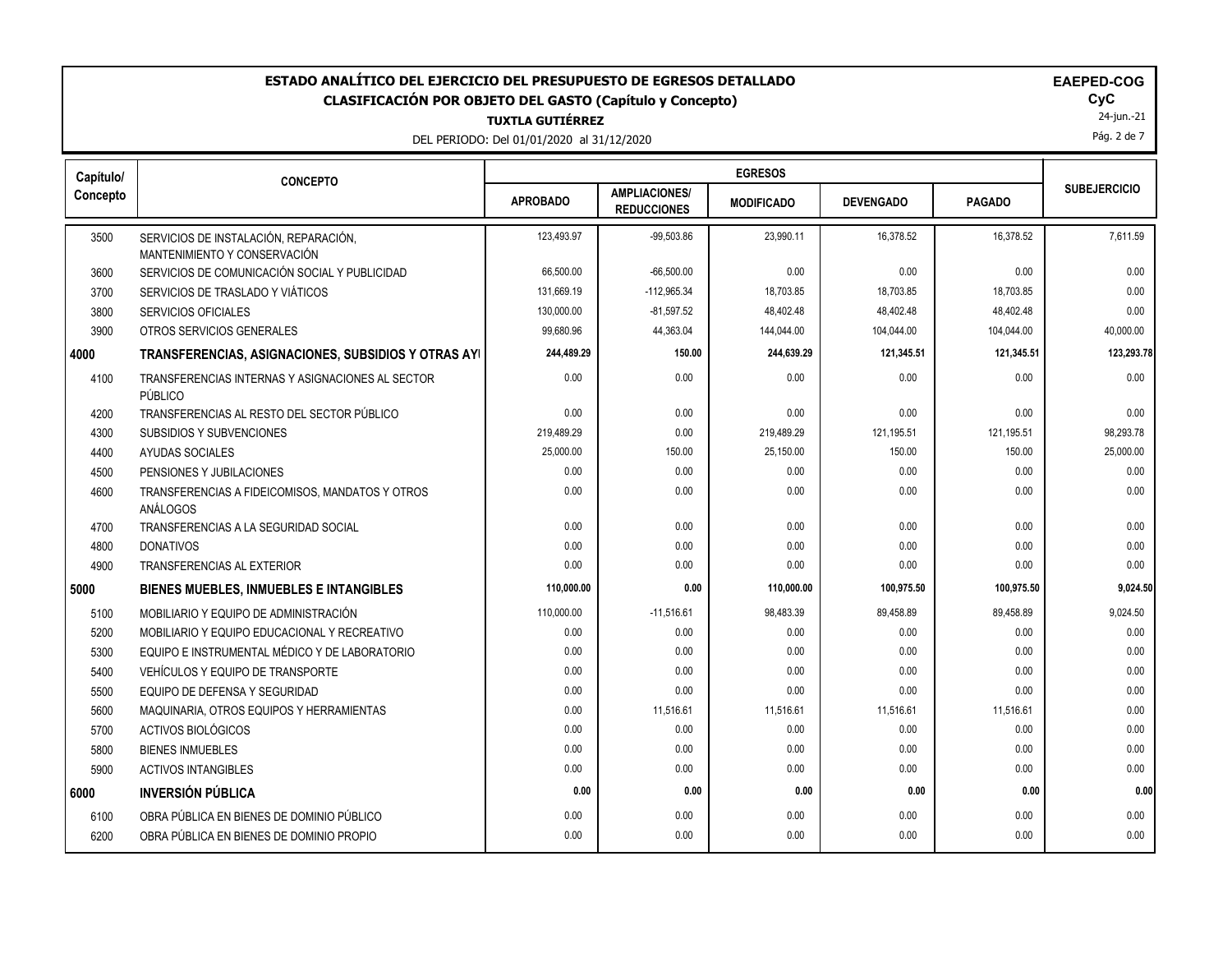### **TUXTLA GUTIÉRREZ ESTADO ANALÍTICO DEL EJERCICIO DEL PRESUPUESTO DE EGRESOS DETALLADO EAEPED-COG CLASIFICACIÓN POR OBJETO DEL GASTO (Capítulo y Concepto) CyC**

DEL PERIODO: Del 01/01/2020 al 31/12/2020

|  | AEPED- | ľ |
|--|--------|---|
|  |        |   |

24-jun.-21

Pág. 2 de 7

| Capítulo/ | <b>CONCEPTO</b>                                                       |                 |                                            | <b>EGRESOS</b>    |                  |               |                     |
|-----------|-----------------------------------------------------------------------|-----------------|--------------------------------------------|-------------------|------------------|---------------|---------------------|
| Concepto  |                                                                       | <b>APROBADO</b> | <b>AMPLIACIONES/</b><br><b>REDUCCIONES</b> | <b>MODIFICADO</b> | <b>DEVENGADO</b> | <b>PAGADO</b> | <b>SUBEJERCICIO</b> |
| 3500      | SERVICIOS DE INSTALACIÓN, REPARACIÓN,<br>MANTENIMIENTO Y CONSERVACIÓN | 123.493.97      | $-99.503.86$                               | 23.990.11         | 16.378.52        | 16.378.52     | 7.611.59            |
| 3600      | SERVICIOS DE COMUNICACIÓN SOCIAL Y PUBLICIDAD                         | 66,500.00       | $-66,500.00$                               | 0.00              | 0.00             | 0.00          | 0.00                |
| 3700      | SERVICIOS DE TRASLADO Y VIÁTICOS                                      | 131,669.19      | $-112,965.34$                              | 18,703.85         | 18,703.85        | 18,703.85     | 0.00                |
| 3800      | <b>SERVICIOS OFICIALES</b>                                            | 130,000.00      | $-81,597.52$                               | 48,402.48         | 48,402.48        | 48.402.48     | 0.00                |
| 3900      | OTROS SERVICIOS GENERALES                                             | 99.680.96       | 44,363.04                                  | 144.044.00        | 104,044.00       | 104,044.00    | 40,000.00           |
| 4000      | TRANSFERENCIAS, ASIGNACIONES, SUBSIDIOS Y OTRAS AYI                   | 244,489.29      | 150.00                                     | 244,639.29        | 121,345.51       | 121,345.51    | 123,293.78          |
| 4100      | TRANSFERENCIAS INTERNAS Y ASIGNACIONES AL SECTOR<br>PÚBLICO           | 0.00            | 0.00                                       | 0.00              | 0.00             | 0.00          | 0.00                |
| 4200      | TRANSFERENCIAS AL RESTO DEL SECTOR PÚBLICO                            | 0.00            | 0.00                                       | 0.00              | 0.00             | 0.00          | 0.00                |
| 4300      | SUBSIDIOS Y SUBVENCIONES                                              | 219,489.29      | 0.00                                       | 219,489.29        | 121,195.51       | 121,195.51    | 98,293.78           |
| 4400      | AYUDAS SOCIALES                                                       | 25,000.00       | 150.00                                     | 25,150.00         | 150.00           | 150.00        | 25,000.00           |
| 4500      | PENSIONES Y JUBILACIONES                                              | 0.00            | 0.00                                       | 0.00              | 0.00             | 0.00          | 0.00                |
| 4600      | TRANSFERENCIAS A FIDEICOMISOS, MANDATOS Y OTROS<br>ANÁLOGOS           | 0.00            | 0.00                                       | 0.00              | 0.00             | 0.00          | 0.00                |
| 4700      | TRANSFERENCIAS A LA SEGURIDAD SOCIAL                                  | 0.00            | 0.00                                       | 0.00              | 0.00             | 0.00          | 0.00                |
| 4800      | <b>DONATIVOS</b>                                                      | 0.00            | 0.00                                       | 0.00              | 0.00             | 0.00          | 0.00                |
| 4900      | <b>TRANSFERENCIAS AL EXTERIOR</b>                                     | 0.00            | 0.00                                       | 0.00              | 0.00             | 0.00          | 0.00                |
| 5000      | <b>BIENES MUEBLES, INMUEBLES E INTANGIBLES</b>                        | 110,000.00      | 0.00                                       | 110,000.00        | 100,975.50       | 100,975.50    | 9,024.50            |
| 5100      | MOBILIARIO Y EQUIPO DE ADMINISTRACIÓN                                 | 110,000.00      | $-11,516.61$                               | 98,483.39         | 89,458.89        | 89,458.89     | 9,024.50            |
| 5200      | MOBILIARIO Y EQUIPO EDUCACIONAL Y RECREATIVO                          | 0.00            | 0.00                                       | 0.00              | 0.00             | 0.00          | 0.00                |
| 5300      | EQUIPO E INSTRUMENTAL MÉDICO Y DE LABORATORIO                         | 0.00            | 0.00                                       | 0.00              | 0.00             | 0.00          | 0.00                |
| 5400      | VEHÍCULOS Y EQUIPO DE TRANSPORTE                                      | 0.00            | 0.00                                       | 0.00              | 0.00             | 0.00          | 0.00                |
| 5500      | EQUIPO DE DEFENSA Y SEGURIDAD                                         | 0.00            | 0.00                                       | 0.00              | 0.00             | 0.00          | 0.00                |
| 5600      | MAQUINARIA, OTROS EQUIPOS Y HERRAMIENTAS                              | 0.00            | 11,516.61                                  | 11,516.61         | 11,516.61        | 11,516.61     | 0.00                |
| 5700      | ACTIVOS BIOLÓGICOS                                                    | 0.00            | 0.00                                       | 0.00              | 0.00             | 0.00          | 0.00                |
| 5800      | <b>BIENES INMUEBLES</b>                                               | 0.00            | 0.00                                       | 0.00              | 0.00             | 0.00          | 0.00                |
| 5900      | <b>ACTIVOS INTANGIBLES</b>                                            | 0.00            | 0.00                                       | 0.00              | 0.00             | 0.00          | 0.00                |
| 6000      | <b>INVERSIÓN PÚBLICA</b>                                              | 0.00            | 0.00                                       | 0.00              | 0.00             | 0.00          | 0.00                |
| 6100      | OBRA PÚBLICA EN BIENES DE DOMINIO PÚBLICO                             | 0.00            | 0.00                                       | 0.00              | 0.00             | 0.00          | 0.00                |
| 6200      | OBRA PÚBLICA EN BIENES DE DOMINIO PROPIO                              | 0.00            | 0.00                                       | 0.00              | 0.00             | 0.00          | 0.00                |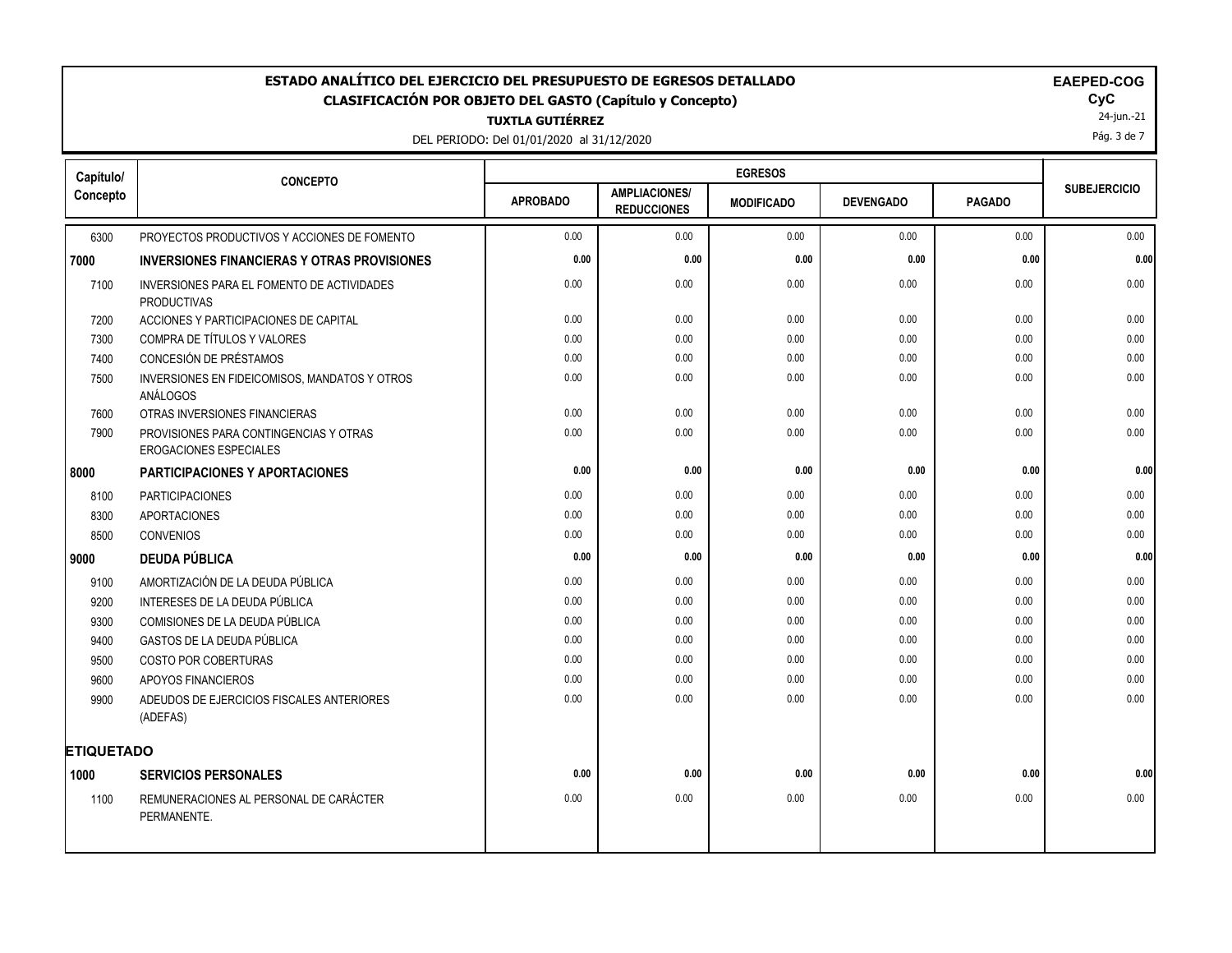# DEL PERIODO: Del 01/01/2020 al 31/12/2020 **TUXTLA GUTIÉRREZ ESTADO ANALÍTICO DEL EJERCICIO DEL PRESUPUESTO DE EGRESOS DETALLADO EAEPED-COG CLASIFICACIÓN POR OBJETO DEL GASTO (Capítulo y Concepto) CyC**

┯

| Capítulo/         | <b>CONCEPTO</b>                                                         |                 |                                            | <b>EGRESOS</b>    |                  |               |                     |
|-------------------|-------------------------------------------------------------------------|-----------------|--------------------------------------------|-------------------|------------------|---------------|---------------------|
| Concepto          |                                                                         | <b>APROBADO</b> | <b>AMPLIACIONES/</b><br><b>REDUCCIONES</b> | <b>MODIFICADO</b> | <b>DEVENGADO</b> | <b>PAGADO</b> | <b>SUBEJERCICIO</b> |
| 6300              | PROYECTOS PRODUCTIVOS Y ACCIONES DE FOMENTO                             | 0.00            | 0.00                                       | 0.00              | 0.00             | 0.00          | 0.00                |
| 7000              | <b>INVERSIONES FINANCIERAS Y OTRAS PROVISIONES</b>                      | 0.00            | 0.00                                       | 0.00              | 0.00             | 0.00          | 0.00                |
| 7100              | INVERSIONES PARA EL FOMENTO DE ACTIVIDADES<br><b>PRODUCTIVAS</b>        | 0.00            | 0.00                                       | 0.00              | 0.00             | 0.00          | 0.00                |
| 7200              | ACCIONES Y PARTICIPACIONES DE CAPITAL                                   | 0.00            | 0.00                                       | 0.00              | 0.00             | 0.00          | 0.00                |
| 7300              | COMPRA DE TÍTULOS Y VALORES                                             | 0.00            | 0.00                                       | 0.00              | 0.00             | 0.00          | 0.00                |
| 7400              | CONCESIÓN DE PRÉSTAMOS                                                  | 0.00            | 0.00                                       | 0.00              | 0.00             | 0.00          | 0.00                |
| 7500              | INVERSIONES EN FIDEICOMISOS, MANDATOS Y OTROS<br>ANÁLOGOS               | 0.00            | 0.00                                       | 0.00              | 0.00             | 0.00          | 0.00                |
| 7600              | OTRAS INVERSIONES FINANCIERAS                                           | 0.00            | 0.00                                       | 0.00              | 0.00             | 0.00          | 0.00                |
| 7900              | PROVISIONES PARA CONTINGENCIAS Y OTRAS<br><b>EROGACIONES ESPECIALES</b> | 0.00            | 0.00                                       | 0.00              | 0.00             | 0.00          | 0.00                |
| 8000              | PARTICIPACIONES Y APORTACIONES                                          | 0.00            | 0.00                                       | 0.00              | 0.00             | 0.00          | 0.00                |
| 8100              | <b>PARTICIPACIONES</b>                                                  | 0.00            | 0.00                                       | 0.00              | 0.00             | 0.00          | 0.00                |
| 8300              | <b>APORTACIONES</b>                                                     | 0.00            | 0.00                                       | 0.00              | 0.00             | 0.00          | 0.00                |
| 8500              | <b>CONVENIOS</b>                                                        | 0.00            | 0.00                                       | 0.00              | 0.00             | 0.00          | 0.00                |
| 9000              | <b>DEUDA PÚBLICA</b>                                                    | 0.00            | 0.00                                       | 0.00              | 0.00             | 0.00          | 0.00                |
| 9100              | AMORTIZACIÓN DE LA DEUDA PÚBLICA                                        | 0.00            | 0.00                                       | 0.00              | 0.00             | 0.00          | 0.00                |
| 9200              | INTERESES DE LA DEUDA PÚBLICA                                           | 0.00            | 0.00                                       | 0.00              | 0.00             | 0.00          | 0.00                |
| 9300              | COMISIONES DE LA DEUDA PÚBLICA                                          | 0.00            | 0.00                                       | 0.00              | 0.00             | 0.00          | 0.00                |
| 9400              | GASTOS DE LA DEUDA PÚBLICA                                              | 0.00            | 0.00                                       | 0.00              | 0.00             | 0.00          | 0.00                |
| 9500              | COSTO POR COBERTURAS                                                    | 0.00            | 0.00                                       | 0.00              | 0.00             | 0.00          | 0.00                |
| 9600              | APOYOS FINANCIEROS                                                      | 0.00            | 0.00                                       | 0.00              | 0.00             | 0.00          | 0.00                |
| 9900              | ADEUDOS DE EJERCICIOS FISCALES ANTERIORES<br>(ADEFAS)                   | 0.00            | 0.00                                       | 0.00              | 0.00             | 0.00          | 0.00                |
| <b>ETIQUETADO</b> |                                                                         |                 |                                            |                   |                  |               |                     |
| 1000              | <b>SERVICIOS PERSONALES</b>                                             | 0.00            | 0.00                                       | 0.00              | 0.00             | 0.00          | 0.00                |
| 1100              | REMUNERACIONES AL PERSONAL DE CARÁCTER<br>PERMANENTE.                   | 0.00            | 0.00                                       | 0.00              | 0.00             | 0.00          | 0.00                |
|                   |                                                                         |                 |                                            |                   |                  |               |                     |

┯

24-jun.-21 Pág. 3 de 7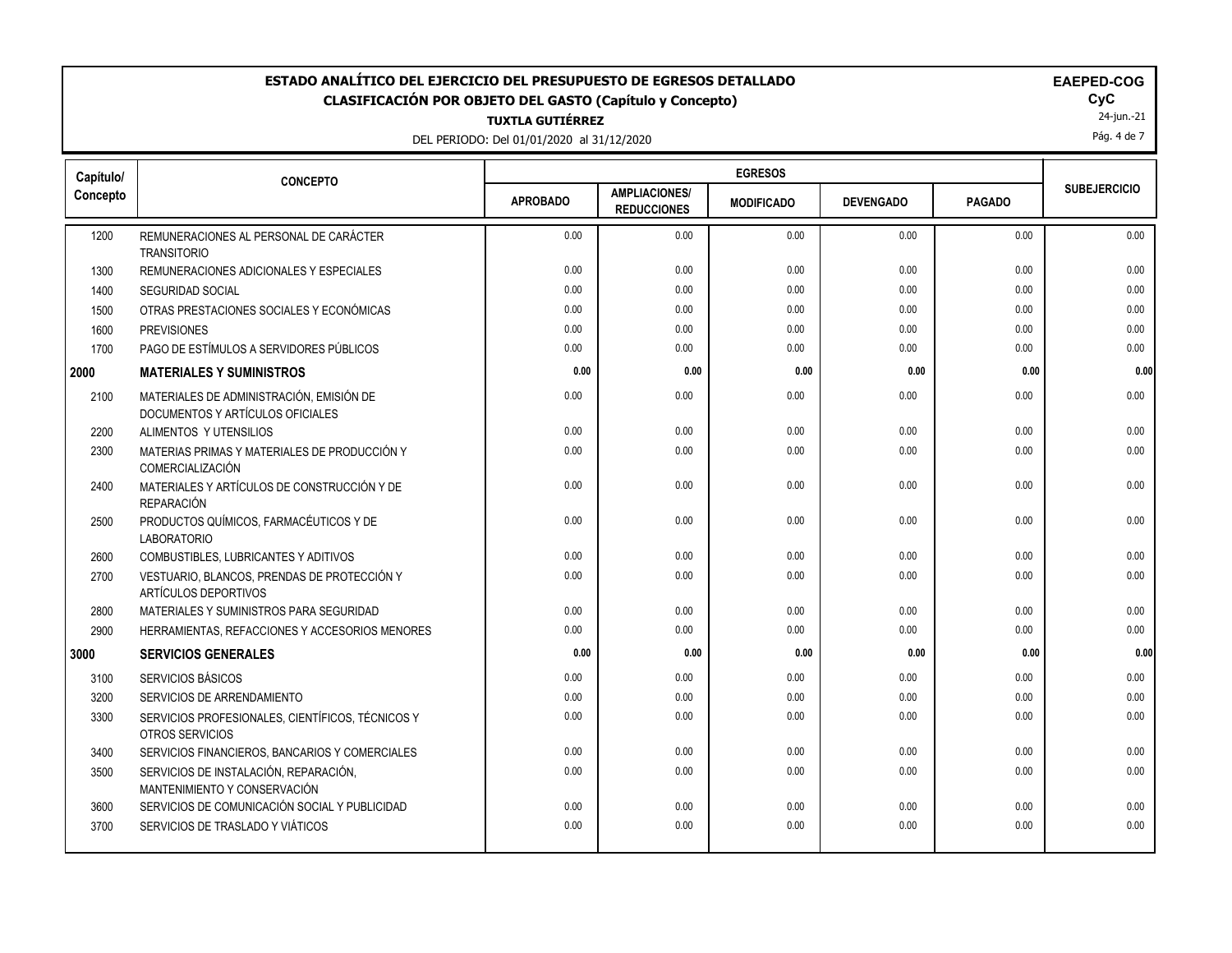## **ESTADO ANALÍTICO DEL EJERCICIO DEL PRESUPUESTO DE EGRESOS DETALLADO EAEPED-COG CLASIFICACIÓN POR OBJETO DEL GASTO (Capítulo y Concepto) CyC**

**TUXTLA GUTIÉRREZ**

DEL PERIODO: Del 01/01/2020 al 31/12/2020

24-jun.-21

Pág. 4 de 7

| Capítulo/ | <b>CONCEPTO</b>                                                              | <b>EGRESOS</b>  |                                            |                   |                  |               |                     |
|-----------|------------------------------------------------------------------------------|-----------------|--------------------------------------------|-------------------|------------------|---------------|---------------------|
| Concepto  |                                                                              | <b>APROBADO</b> | <b>AMPLIACIONES/</b><br><b>REDUCCIONES</b> | <b>MODIFICADO</b> | <b>DEVENGADO</b> | <b>PAGADO</b> | <b>SUBEJERCICIO</b> |
| 1200      | REMUNERACIONES AL PERSONAL DE CARÁCTER<br><b>TRANSITORIO</b>                 | 0.00            | 0.00                                       | 0.00              | 0.00             | 0.00          | 0.00                |
| 1300      | REMUNERACIONES ADICIONALES Y ESPECIALES                                      | 0.00            | 0.00                                       | 0.00              | 0.00             | 0.00          | 0.00                |
| 1400      | <b>SEGURIDAD SOCIAL</b>                                                      | 0.00            | 0.00                                       | 0.00              | 0.00             | 0.00          | 0.00                |
| 1500      | OTRAS PRESTACIONES SOCIALES Y ECONÓMICAS                                     | 0.00            | 0.00                                       | 0.00              | 0.00             | 0.00          | 0.00                |
| 1600      | <b>PREVISIONES</b>                                                           | 0.00            | 0.00                                       | 0.00              | 0.00             | 0.00          | 0.00                |
| 1700      | PAGO DE ESTÍMULOS A SERVIDORES PÚBLICOS                                      | 0.00            | 0.00                                       | 0.00              | 0.00             | 0.00          | 0.00                |
| 2000      | <b>MATERIALES Y SUMINISTROS</b>                                              | 0.00            | 0.00                                       | 0.00              | 0.00             | 0.00          | 0.00                |
| 2100      | MATERIALES DE ADMINISTRACIÓN, EMISIÓN DE<br>DOCUMENTOS Y ARTÍCULOS OFICIALES | 0.00            | 0.00                                       | 0.00              | 0.00             | 0.00          | 0.00                |
| 2200      | ALIMENTOS Y UTENSILIOS                                                       | 0.00            | 0.00                                       | 0.00              | 0.00             | 0.00          | 0.00                |
| 2300      | MATERIAS PRIMAS Y MATERIALES DE PRODUCCIÓN Y<br>COMERCIALIZACIÓN             | 0.00            | 0.00                                       | 0.00              | 0.00             | 0.00          | 0.00                |
| 2400      | MATERIALES Y ARTÍCULOS DE CONSTRUCCIÓN Y DE<br><b>REPARACIÓN</b>             | 0.00            | 0.00                                       | 0.00              | 0.00             | 0.00          | 0.00                |
| 2500      | PRODUCTOS QUÍMICOS, FARMACÉUTICOS Y DE<br><b>LABORATORIO</b>                 | 0.00            | 0.00                                       | 0.00              | 0.00             | 0.00          | 0.00                |
| 2600      | <b>COMBUSTIBLES. LUBRICANTES Y ADITIVOS</b>                                  | 0.00            | 0.00                                       | 0.00              | 0.00             | 0.00          | 0.00                |
| 2700      | VESTUARIO, BLANCOS, PRENDAS DE PROTECCIÓN Y<br>ARTÍCULOS DEPORTIVOS          | 0.00            | 0.00                                       | 0.00              | 0.00             | 0.00          | 0.00                |
| 2800      | MATERIALES Y SUMINISTROS PARA SEGURIDAD                                      | 0.00            | 0.00                                       | 0.00              | 0.00             | 0.00          | 0.00                |
| 2900      | HERRAMIENTAS, REFACCIONES Y ACCESORIOS MENORES                               | 0.00            | 0.00                                       | 0.00              | 0.00             | 0.00          | 0.00                |
| 3000      | <b>SERVICIOS GENERALES</b>                                                   | 0.00            | 0.00                                       | 0.00              | 0.00             | 0.00          | 0.00                |
| 3100      | SERVICIOS BÁSICOS                                                            | 0.00            | 0.00                                       | 0.00              | 0.00             | 0.00          | 0.00                |
| 3200      | SERVICIOS DE ARRENDAMIENTO                                                   | 0.00            | 0.00                                       | 0.00              | 0.00             | 0.00          | 0.00                |
| 3300      | SERVICIOS PROFESIONALES, CIENTÍFICOS, TÉCNICOS Y<br>OTROS SERVICIOS          | 0.00            | 0.00                                       | 0.00              | 0.00             | 0.00          | 0.00                |
| 3400      | SERVICIOS FINANCIEROS, BANCARIOS Y COMERCIALES                               | 0.00            | 0.00                                       | 0.00              | 0.00             | 0.00          | 0.00                |
| 3500      | SERVICIOS DE INSTALACIÓN, REPARACIÓN,<br>MANTENIMIENTO Y CONSERVACIÓN        | 0.00            | 0.00                                       | 0.00              | 0.00             | 0.00          | 0.00                |
| 3600      | SERVICIOS DE COMUNICACIÓN SOCIAL Y PUBLICIDAD                                | 0.00            | 0.00                                       | 0.00              | 0.00             | 0.00          | 0.00                |
| 3700      | SERVICIOS DE TRASLADO Y VIÁTICOS                                             | 0.00            | 0.00                                       | 0.00              | 0.00             | 0.00          | 0.00                |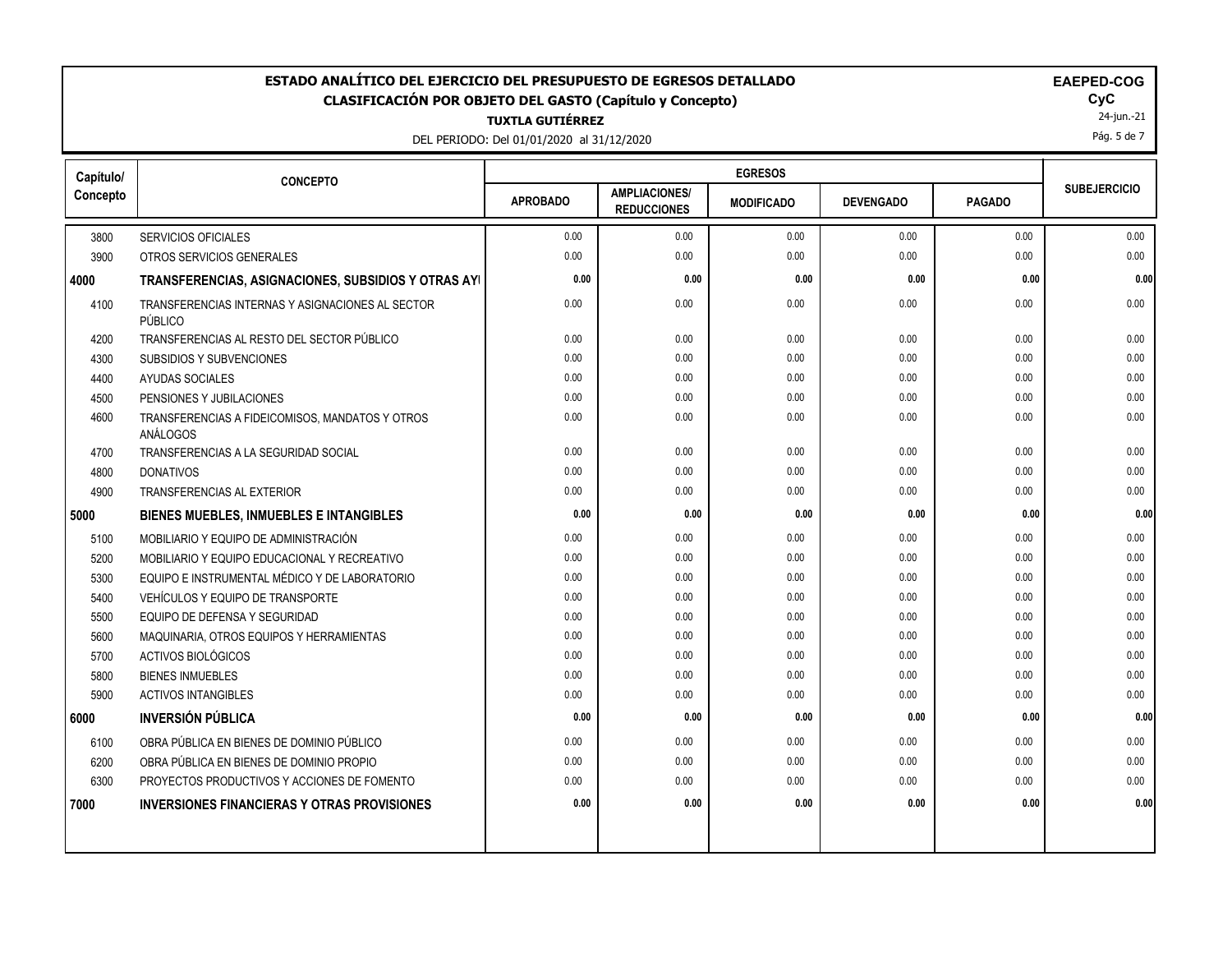### ESTADO ANALÍTICO DEL EJERCICIO DEL PRESUPUESTO DE EGRESOS DETALLADO<br>CLASIFICACIÓN POR OBJETO DEL GASTO (Capítulo y Concepto) **ELAGO**COGO EL GOGO COGO EL GOGO EL GOGO EL GOGO EL GOGO **CLASIFICACIÓN POR OBJETO DEL GASTO (Capítulo y Concepto) CyC**

**TUXTLA GUTIÉRREZ**

DEL PERIODO: Del 01/01/2020 al 31/12/2020

|  |  | <b>EAEPED-COG</b> |  |
|--|--|-------------------|--|
|--|--|-------------------|--|

24-jun.-21

Pág. 5 de 7

| Capítulo/ | <b>CONCEPTO</b>                                             | <b>EGRESOS</b>  |                                            |                   |                  |               |                     |
|-----------|-------------------------------------------------------------|-----------------|--------------------------------------------|-------------------|------------------|---------------|---------------------|
| Concepto  |                                                             | <b>APROBADO</b> | <b>AMPLIACIONES/</b><br><b>REDUCCIONES</b> | <b>MODIFICADO</b> | <b>DEVENGADO</b> | <b>PAGADO</b> | <b>SUBEJERCICIO</b> |
| 3800      | <b>SERVICIOS OFICIALES</b>                                  | 0.00            | 0.00                                       | 0.00              | 0.00             | 0.00          | 0.00                |
| 3900      | OTROS SERVICIOS GENERALES                                   | 0.00            | 0.00                                       | 0.00              | 0.00             | 0.00          | 0.00                |
| 4000      | TRANSFERENCIAS, ASIGNACIONES, SUBSIDIOS Y OTRAS AYI         | 0.00            | 0.00                                       | 0.00              | 0.00             | 0.00          | 0.00                |
| 4100      | TRANSFERENCIAS INTERNAS Y ASIGNACIONES AL SECTOR<br>PÚBLICO | 0.00            | 0.00                                       | 0.00              | 0.00             | 0.00          | 0.00                |
| 4200      | TRANSFERENCIAS AL RESTO DEL SECTOR PÚBLICO                  | 0.00            | 0.00                                       | 0.00              | 0.00             | 0.00          | 0.00                |
| 4300      | SUBSIDIOS Y SUBVENCIONES                                    | 0.00            | 0.00                                       | 0.00              | 0.00             | 0.00          | 0.00                |
| 4400      | AYUDAS SOCIALES                                             | 0.00            | 0.00                                       | 0.00              | 0.00             | 0.00          | 0.00                |
| 4500      | PENSIONES Y JUBILACIONES                                    | 0.00            | 0.00                                       | 0.00              | 0.00             | 0.00          | 0.00                |
| 4600      | TRANSFERENCIAS A FIDEICOMISOS, MANDATOS Y OTROS<br>ANÁLOGOS | 0.00            | 0.00                                       | 0.00              | 0.00             | 0.00          | 0.00                |
| 4700      | TRANSFERENCIAS A LA SEGURIDAD SOCIAL                        | 0.00            | 0.00                                       | 0.00              | 0.00             | 0.00          | 0.00                |
| 4800      | <b>DONATIVOS</b>                                            | 0.00            | 0.00                                       | 0.00              | 0.00             | 0.00          | 0.00                |
| 4900      | TRANSFERENCIAS AL EXTERIOR                                  | 0.00            | 0.00                                       | 0.00              | 0.00             | 0.00          | 0.00                |
| 5000      | BIENES MUEBLES, INMUEBLES E INTANGIBLES                     | 0.00            | 0.00                                       | 0.00              | 0.00             | 0.00          | 0.00                |
| 5100      | MOBILIARIO Y EQUIPO DE ADMINISTRACIÓN                       | 0.00            | 0.00                                       | 0.00              | 0.00             | 0.00          | 0.00                |
| 5200      | MOBILIARIO Y EQUIPO EDUCACIONAL Y RECREATIVO                | 0.00            | 0.00                                       | 0.00              | 0.00             | 0.00          | 0.00                |
| 5300      | EQUIPO E INSTRUMENTAL MÉDICO Y DE LABORATORIO               | 0.00            | 0.00                                       | 0.00              | 0.00             | 0.00          | 0.00                |
| 5400      | VEHÍCULOS Y EQUIPO DE TRANSPORTE                            | 0.00            | 0.00                                       | 0.00              | 0.00             | 0.00          | 0.00                |
| 5500      | EQUIPO DE DEFENSA Y SEGURIDAD                               | 0.00            | 0.00                                       | 0.00              | 0.00             | 0.00          | 0.00                |
| 5600      | MAQUINARIA, OTROS EQUIPOS Y HERRAMIENTAS                    | 0.00            | 0.00                                       | 0.00              | 0.00             | 0.00          | 0.00                |
| 5700      | ACTIVOS BIOLÓGICOS                                          | 0.00            | 0.00                                       | 0.00              | 0.00             | 0.00          | 0.00                |
| 5800      | <b>BIENES INMUEBLES</b>                                     | 0.00            | 0.00                                       | 0.00              | 0.00             | 0.00          | 0.00                |
| 5900      | <b>ACTIVOS INTANGIBLES</b>                                  | 0.00            | 0.00                                       | 0.00              | 0.00             | 0.00          | 0.00                |
| 6000      | <b>INVERSIÓN PÚBLICA</b>                                    | 0.00            | 0.00                                       | 0.00              | 0.00             | 0.00          | 0.00                |
| 6100      | OBRA PÚBLICA EN BIENES DE DOMINIO PÚBLICO                   | 0.00            | 0.00                                       | 0.00              | 0.00             | 0.00          | 0.00                |
| 6200      | OBRA PÚBLICA EN BIENES DE DOMINIO PROPIO                    | 0.00            | 0.00                                       | 0.00              | 0.00             | 0.00          | 0.00                |
| 6300      | PROYECTOS PRODUCTIVOS Y ACCIONES DE FOMENTO                 | 0.00            | 0.00                                       | 0.00              | 0.00             | 0.00          | 0.00                |
| 7000      | <b>INVERSIONES FINANCIERAS Y OTRAS PROVISIONES</b>          | 0.00            | 0.00                                       | 0.00              | 0.00             | 0.00          | 0.00                |
|           |                                                             |                 |                                            |                   |                  |               |                     |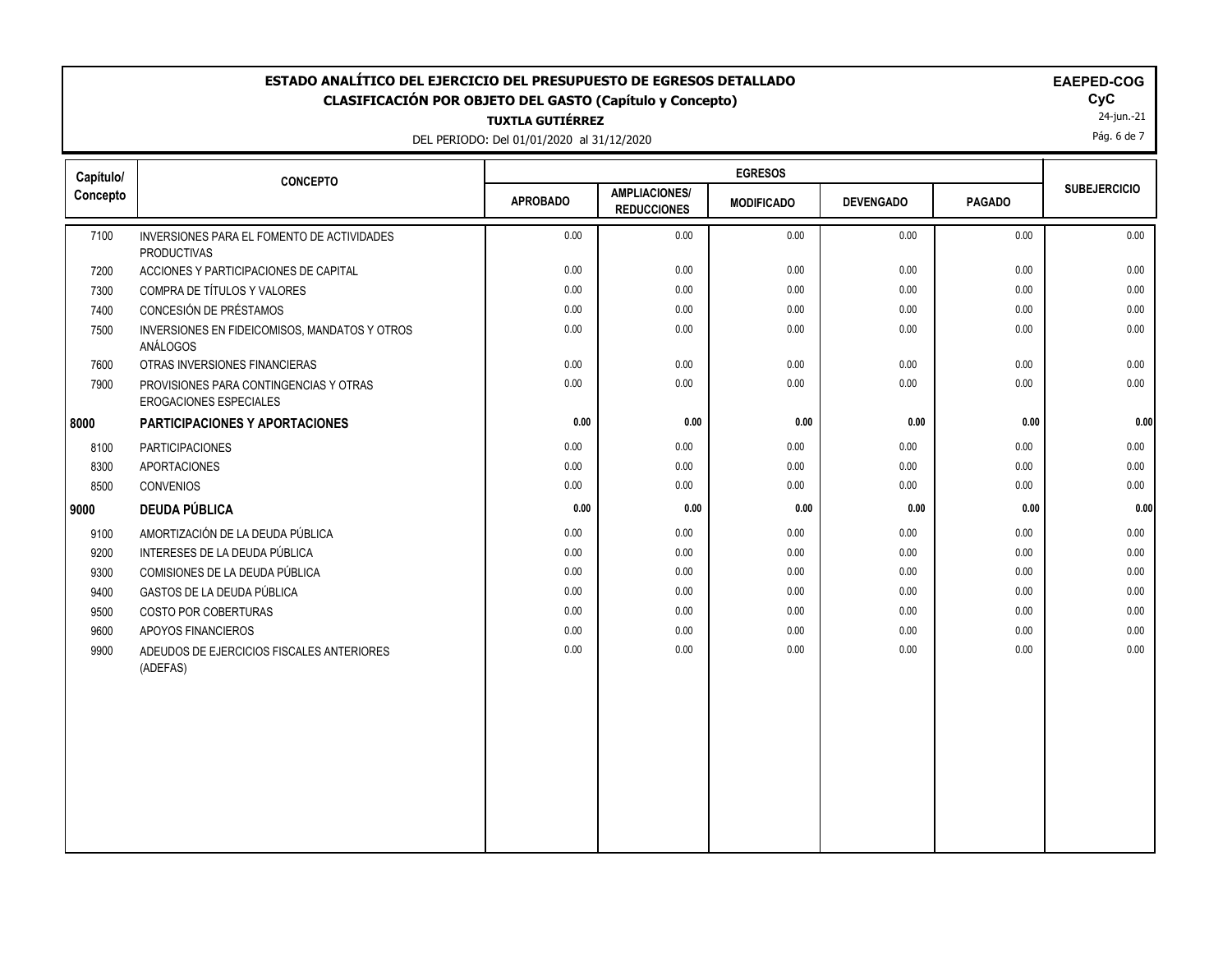## ESTADO ANALÍTICO DEL EJERCICIO DEL PRESUPUESTO DE EGRESOS DETALLADO<br>CLASIFICACIÓN POR OBJETO DEL GASTO (Capítulo y Concepto) **ELAGO**COGO EL GOGO COGO EL GOGO EL GOGO EL GOGO EL GOGO **CLASIFICACIÓN POR OBJETO DEL GASTO (Capítulo y Concepto) CyC**

**TUXTLA GUTIÉRREZ**

DEL PERIODO: Del 01/01/2020 al 31/12/2020

| <b>EAEPED-COG</b> |
|-------------------|
|-------------------|

24-jun.-21

Pág. 6 de 7

| Capítulo/ | <b>CONCEPTO</b>                                                  | <b>EGRESOS</b>  |                                            |                   |                  |               |                     |
|-----------|------------------------------------------------------------------|-----------------|--------------------------------------------|-------------------|------------------|---------------|---------------------|
| Concepto  |                                                                  | <b>APROBADO</b> | <b>AMPLIACIONES/</b><br><b>REDUCCIONES</b> | <b>MODIFICADO</b> | <b>DEVENGADO</b> | <b>PAGADO</b> | <b>SUBEJERCICIO</b> |
| 7100      | INVERSIONES PARA EL FOMENTO DE ACTIVIDADES<br><b>PRODUCTIVAS</b> | 0.00            | 0.00                                       | 0.00              | 0.00             | 0.00          | 0.00                |
| 7200      | ACCIONES Y PARTICIPACIONES DE CAPITAL                            | 0.00            | 0.00                                       | 0.00              | 0.00             | 0.00          | 0.00                |
| 7300      | COMPRA DE TÍTULOS Y VALORES                                      | 0.00            | 0.00                                       | 0.00              | 0.00             | 0.00          | 0.00                |
| 7400      | CONCESIÓN DE PRÉSTAMOS                                           | 0.00            | 0.00                                       | 0.00              | 0.00             | 0.00          | 0.00                |
| 7500      | INVERSIONES EN FIDEICOMISOS, MANDATOS Y OTROS<br>ANÁLOGOS        | 0.00            | 0.00                                       | 0.00              | 0.00             | 0.00          | 0.00                |
| 7600      | OTRAS INVERSIONES FINANCIERAS                                    | 0.00            | 0.00                                       | 0.00              | 0.00             | 0.00          | 0.00                |
| 7900      | PROVISIONES PARA CONTINGENCIAS Y OTRAS<br>EROGACIONES ESPECIALES | 0.00            | 0.00                                       | 0.00              | 0.00             | 0.00          | 0.00                |
| 8000      | PARTICIPACIONES Y APORTACIONES                                   | 0.00            | 0.00                                       | 0.00              | 0.00             | 0.00          | 0.00                |
| 8100      | <b>PARTICIPACIONES</b>                                           | 0.00            | 0.00                                       | 0.00              | 0.00             | 0.00          | 0.00                |
| 8300      | <b>APORTACIONES</b>                                              | 0.00            | 0.00                                       | 0.00              | 0.00             | 0.00          | 0.00                |
| 8500      | <b>CONVENIOS</b>                                                 | 0.00            | 0.00                                       | 0.00              | 0.00             | 0.00          | 0.00                |
| 9000      | <b>DEUDA PÚBLICA</b>                                             | 0.00            | 0.00                                       | 0.00              | 0.00             | 0.00          | 0.00                |
| 9100      | AMORTIZACIÓN DE LA DEUDA PÚBLICA                                 | 0.00            | 0.00                                       | 0.00              | 0.00             | 0.00          | 0.00                |
| 9200      | INTERESES DE LA DEUDA PÚBLICA                                    | 0.00            | 0.00                                       | 0.00              | 0.00             | 0.00          | 0.00                |
| 9300      | COMISIONES DE LA DEUDA PÚBLICA                                   | 0.00            | 0.00                                       | 0.00              | 0.00             | 0.00          | 0.00                |
| 9400      | GASTOS DE LA DEUDA PÚBLICA                                       | 0.00            | 0.00                                       | 0.00              | 0.00             | 0.00          | 0.00                |
| 9500      | COSTO POR COBERTURAS                                             | 0.00            | 0.00                                       | 0.00              | 0.00             | 0.00          | 0.00                |
| 9600      | APOYOS FINANCIEROS                                               | 0.00            | 0.00                                       | 0.00              | 0.00             | 0.00          | 0.00                |
| 9900      | ADEUDOS DE EJERCICIOS FISCALES ANTERIORES<br>(ADEFAS)            | 0.00            | 0.00                                       | 0.00              | 0.00             | 0.00          | 0.00                |
|           |                                                                  |                 |                                            |                   |                  |               |                     |
|           |                                                                  |                 |                                            |                   |                  |               |                     |
|           |                                                                  |                 |                                            |                   |                  |               |                     |
|           |                                                                  |                 |                                            |                   |                  |               |                     |